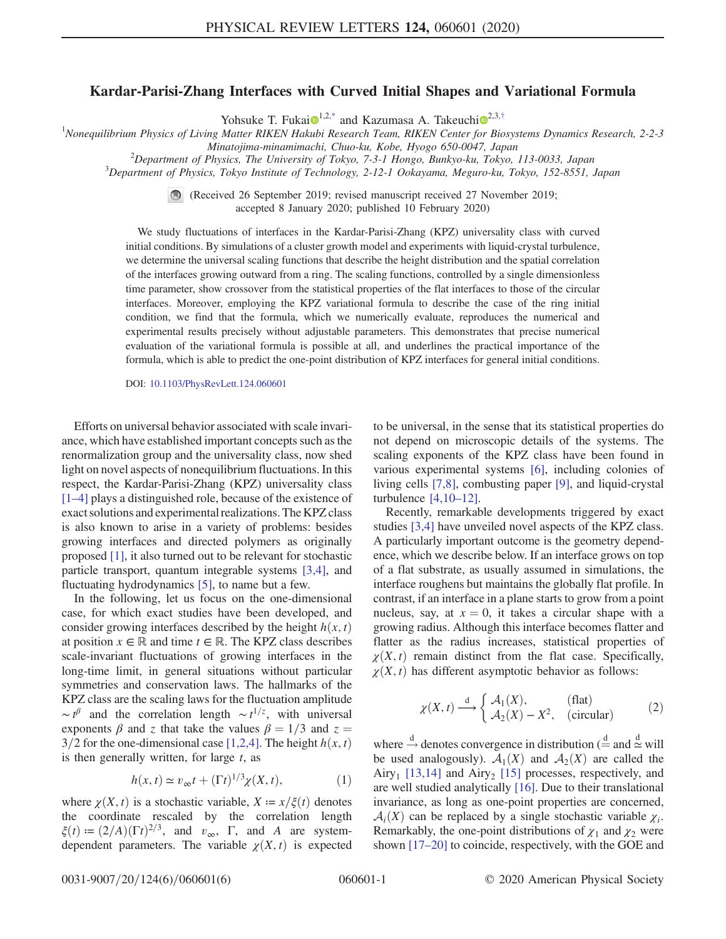## Kardar-Parisi-Zhang Interfaces with Curved Initial Shapes and Variational Formula

Yohsuke T. Fukai $\mathbf{\Theta}^{1,2,*}$  $\mathbf{\Theta}^{1,2,*}$  $\mathbf{\Theta}^{1,2,*}$  $\mathbf{\Theta}^{1,2,*}$  $\mathbf{\Theta}^{1,2,*}$  and Kazumasa A. Takeuchi $\mathbf{\Theta}^{2,3,\dagger}$  $\mathbf{\Theta}^{2,3,\dagger}$  $\mathbf{\Theta}^{2,3,\dagger}$ 

<span id="page-0-1"></span><sup>1</sup>Nonequilibrium Physics of Living Matter RIKEN Hakubi Research Team, RIKEN Center for Biosystems Dynamics Research, 2-2-3

Minatojima-minamimachi, Chuo-ku, Kobe, Hyogo 650-0047, Japan <sup>2</sup>

 $\mu^2$ Department of Physics, The University of Tokyo, 7-3-1 Hongo, Bunkyo-ku, Tokyo, 113-0033, Japan

<sup>3</sup>Department of Physics, Tokyo Institute of Technology, 2-12-1 Ookayama, Meguro-ku, Tokyo, 152-8551, Japan

(Received 26 September 2019; revised manuscript received 27 November 2019; accepted 8 January 2020; published 10 February 2020)

We study fluctuations of interfaces in the Kardar-Parisi-Zhang (KPZ) universality class with curved initial conditions. By simulations of a cluster growth model and experiments with liquid-crystal turbulence, we determine the universal scaling functions that describe the height distribution and the spatial correlation of the interfaces growing outward from a ring. The scaling functions, controlled by a single dimensionless time parameter, show crossover from the statistical properties of the flat interfaces to those of the circular interfaces. Moreover, employing the KPZ variational formula to describe the case of the ring initial condition, we find that the formula, which we numerically evaluate, reproduces the numerical and experimental results precisely without adjustable parameters. This demonstrates that precise numerical evaluation of the variational formula is possible at all, and underlines the practical importance of the formula, which is able to predict the one-point distribution of KPZ interfaces for general initial conditions.

DOI: [10.1103/PhysRevLett.124.060601](https://doi.org/10.1103/PhysRevLett.124.060601)

Efforts on universal behavior associated with scale invariance, which have established important concepts such as the renormalization group and the universality class, now shed light on novel aspects of nonequilibrium fluctuations. In this respect, the Kardar-Parisi-Zhang (KPZ) universality class [\[1](#page-4-2)–4] plays a distinguished role, because of the existence of exact solutions and experimental realizations. The KPZ class is also known to arise in a variety of problems: besides growing interfaces and directed polymers as originally proposed [\[1\],](#page-4-2) it also turned out to be relevant for stochastic particle transport, quantum integrable systems [\[3,4\],](#page-4-3) and fluctuating hydrodynamics [\[5\],](#page-4-4) to name but a few.

In the following, let us focus on the one-dimensional case, for which exact studies have been developed, and consider growing interfaces described by the height  $h(x, t)$ at position  $x \in \mathbb{R}$  and time  $t \in \mathbb{R}$ . The KPZ class describes scale-invariant fluctuations of growing interfaces in the long-time limit, in general situations without particular symmetries and conservation laws. The hallmarks of the KPZ class are the scaling laws for the fluctuation amplitude ~ $t^{\beta}$  and the correlation length ~ $t^{1/z}$ , with universal exponents  $\beta$  and z that take the values  $\beta = 1/3$  and z = exponents  $\beta$  and z that take the values  $\beta = 1/3$  and  $z =$  $3/2$  for the one-dimensional case [\[1,2,4\].](#page-4-2) The height  $h(x, t)$ is then generally written, for large  $t$ , as

$$
h(x,t) \simeq v_{\infty}t + (\Gamma t)^{1/3}\chi(X,t),\tag{1}
$$

where  $\chi(X, t)$  is a stochastic variable,  $X = x/\xi(t)$  denotes the coordinate rescaled by the correlation length  $\xi(t) := (2/A)(\Gamma t)^{2/3}$ , and  $v_{\infty}$ , Γ, and A are systemdependent parameters. The variable  $\chi(X, t)$  is expected to be universal, in the sense that its statistical properties do not depend on microscopic details of the systems. The scaling exponents of the KPZ class have been found in various experimental systems [\[6\]](#page-4-5), including colonies of living cells [\[7,8\]](#page-4-6), combusting paper [\[9\],](#page-4-7) and liquid-crystal turbulence [\[4,10](#page-4-8)–12].

Recently, remarkable developments triggered by exact studies [\[3,4\]](#page-4-3) have unveiled novel aspects of the KPZ class. A particularly important outcome is the geometry dependence, which we describe below. If an interface grows on top of a flat substrate, as usually assumed in simulations, the interface roughens but maintains the globally flat profile. In contrast, if an interface in a plane starts to grow from a point nucleus, say, at  $x = 0$ , it takes a circular shape with a growing radius. Although this interface becomes flatter and flatter as the radius increases, statistical properties of  $\chi(X, t)$  remain distinct from the flat case. Specifically,  $\chi(X, t)$  has different asymptotic behavior as follows:

<span id="page-0-0"></span>
$$
\chi(X,t) \xrightarrow{d} \begin{cases} \mathcal{A}_1(X), & \text{(flat)}\\ \mathcal{A}_2(X) - X^2, & \text{(circular)} \end{cases}
$$
 (2)

where  $\stackrel{d}{\rightarrow}$  denotes convergence in distribution ( $\stackrel{d}{=}$  and  $\stackrel{d}{\sim}$  will be used analogously).  $\mathcal{A}_1(X)$  and  $\mathcal{A}_2(X)$  are called the Airy<sub>1</sub> [\[13,14\]](#page-4-9) and Airy<sub>2</sub> [\[15\]](#page-4-10) processes, respectively, and are well studied analytically [\[16\]](#page-4-11). Due to their translational invariance, as long as one-point properties are concerned,  $\mathcal{A}_i(X)$  can be replaced by a single stochastic variable  $\chi_i$ . Remarkably, the one-point distributions of  $\chi_1$  and  $\chi_2$  were shown [17–[20\]](#page-4-12) to coincide, respectively, with the GOE and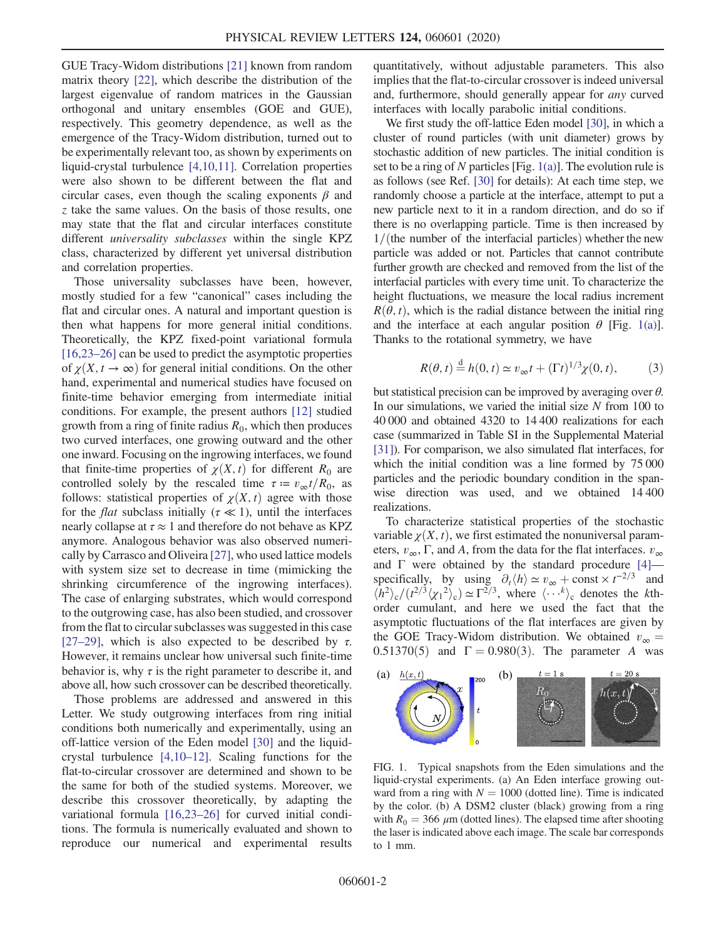GUE Tracy-Widom distributions [\[21\]](#page-5-0) known from random matrix theory [\[22\]](#page-5-1), which describe the distribution of the largest eigenvalue of random matrices in the Gaussian orthogonal and unitary ensembles (GOE and GUE), respectively. This geometry dependence, as well as the emergence of the Tracy-Widom distribution, turned out to be experimentally relevant too, as shown by experiments on liquid-crystal turbulence [\[4,10,11\]](#page-4-8). Correlation properties were also shown to be different between the flat and circular cases, even though the scaling exponents  $\beta$  and z take the same values. On the basis of those results, one may state that the flat and circular interfaces constitute different *universality subclasses* within the single KPZ class, characterized by different yet universal distribution and correlation properties.

Those universality subclasses have been, however, mostly studied for a few "canonical" cases including the flat and circular ones. A natural and important question is then what happens for more general initial conditions. Theoretically, the KPZ fixed-point variational formula [\[16,23](#page-4-11)–26] can be used to predict the asymptotic properties of  $\chi(X, t \to \infty)$  for general initial conditions. On the other hand, experimental and numerical studies have focused on finite-time behavior emerging from intermediate initial conditions. For example, the present authors [\[12\]](#page-4-13) studied growth from a ring of finite radius  $R_0$ , which then produces two curved interfaces, one growing outward and the other one inward. Focusing on the ingrowing interfaces, we found that finite-time properties of  $\chi(X, t)$  for different  $R_0$  are controlled solely by the rescaled time  $\tau = v_{\infty}t/R_0$ , as follows: statistical properties of  $\chi(X, t)$  agree with those for the *flat* subclass initially ( $\tau \ll 1$ ), until the interfaces nearly collapse at  $\tau \approx 1$  and therefore do not behave as KPZ anymore. Analogous behavior was also observed numerically by Carrasco and Oliveira [\[27\],](#page-5-2) who used lattice models with system size set to decrease in time (mimicking the shrinking circumference of the ingrowing interfaces). The case of enlarging substrates, which would correspond to the outgrowing case, has also been studied, and crossover from the flat to circular subclasses was suggested in this case [\[27](#page-5-2)–29], which is also expected to be described by  $\tau$ . However, it remains unclear how universal such finite-time behavior is, why  $\tau$  is the right parameter to describe it, and above all, how such crossover can be described theoretically.

Those problems are addressed and answered in this Letter. We study outgrowing interfaces from ring initial conditions both numerically and experimentally, using an off-lattice version of the Eden model [\[30\]](#page-5-3) and the liquidcrystal turbulence [\[4,10](#page-4-8)–12]. Scaling functions for the flat-to-circular crossover are determined and shown to be the same for both of the studied systems. Moreover, we describe this crossover theoretically, by adapting the variational formula [\[16,23](#page-4-11)–26] for curved initial conditions. The formula is numerically evaluated and shown to reproduce our numerical and experimental results quantitatively, without adjustable parameters. This also implies that the flat-to-circular crossover is indeed universal and, furthermore, should generally appear for any curved interfaces with locally parabolic initial conditions.

We first study the off-lattice Eden model [\[30\],](#page-5-3) in which a cluster of round particles (with unit diameter) grows by stochastic addition of new particles. The initial condition is set to be a ring of N particles [Fig.  $1(a)$ ]. The evolution rule is as follows (see Ref. [\[30\]](#page-5-3) for details): At each time step, we randomly choose a particle at the interface, attempt to put a new particle next to it in a random direction, and do so if there is no overlapping particle. Time is then increased by  $1/($ the number of the interfacial particles) whether the new particle was added or not. Particles that cannot contribute further growth are checked and removed from the list of the interfacial particles with every time unit. To characterize the height fluctuations, we measure the local radius increment  $R(\theta, t)$ , which is the radial distance between the initial ring and the interface at each angular position  $\theta$  [Fig. [1\(a\)](#page-1-0)]. Thanks to the rotational symmetry, we have

$$
R(\theta, t) \stackrel{\text{d}}{=} h(0, t) \simeq v_{\infty} t + (\Gamma t)^{1/3} \chi(0, t), \tag{3}
$$

but statistical precision can be improved by averaging over  $\theta$ . In our simulations, we varied the initial size  $N$  from 100 to 40 000 and obtained 4320 to 14 400 realizations for each case (summarized in Table SI in the Supplemental Material [\[31\]\)](#page-5-4). For comparison, we also simulated flat interfaces, for which the initial condition was a line formed by 75 000 particles and the periodic boundary condition in the spanwise direction was used, and we obtained 14 400 realizations.

To characterize statistical properties of the stochastic variable  $\chi(X, t)$ , we first estimated the nonuniversal parameters,  $v_{\infty}$ , Γ, and A, from the data for the flat interfaces.  $v_{\infty}$ and  $\Gamma$  were obtained by the standard procedure  $[4]$  specifically, by using  $\partial_t \langle h \rangle \simeq v_\infty + \text{const} \times t^{-2/3}$  and  $\langle h^2 \rangle / (t^{2/3} \langle v, t^2 \rangle) \sim \Gamma^{2/3}$  where  $\langle \dots, k \rangle$  denotes the kth- $\langle h^2 \rangle_c / (t^{2/3} \langle \chi_1^2 \rangle_c) \simeq \Gamma^{2/3}$ , where  $\langle \cdots \chi \rangle_c$  denotes the *k*thorder cumulant, and here we used the fact that the asymptotic fluctuations of the flat interfaces are given by the GOE Tracy-Widom distribution. We obtained  $v_{\infty} =$ 0.51370(5) and  $\Gamma = 0.980(3)$ . The parameter A was

<span id="page-1-0"></span>

FIG. 1. Typical snapshots from the Eden simulations and the liquid-crystal experiments. (a) An Eden interface growing outward from a ring with  $N = 1000$  (dotted line). Time is indicated by the color. (b) A DSM2 cluster (black) growing from a ring with  $R_0 = 366 \ \mu m$  (dotted lines). The elapsed time after shooting the laser is indicated above each image. The scale bar corresponds to 1 mm.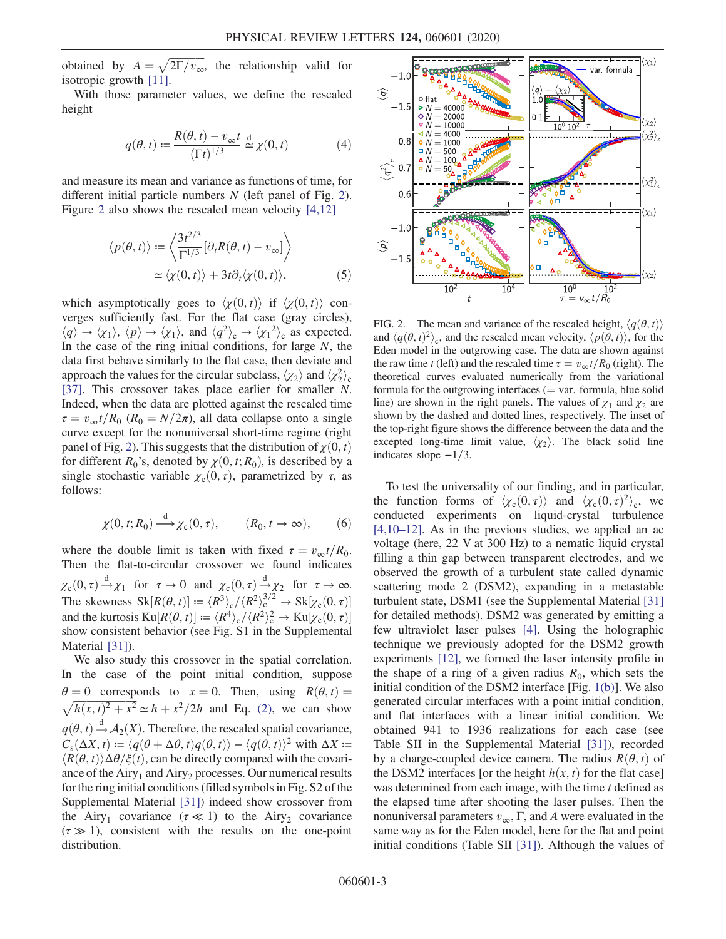obtained by  $A = \sqrt{2\Gamma/v_{\infty}}$ , the relationship valid for isotronic growth [11] isotropic growth [\[11\]](#page-4-14).

<span id="page-2-2"></span>With those parameter values, we define the rescaled height

$$
q(\theta, t) := \frac{R(\theta, t) - v_{\infty}t}{(\Gamma t)^{1/3}} \stackrel{\text{d}}{\simeq} \chi(0, t) \tag{4}
$$

<span id="page-2-3"></span>and measure its mean and variance as functions of time, for different initial particle numbers  $N$  (left panel of Fig. [2](#page-2-0)). Figure [2](#page-2-0) also shows the rescaled mean velocity [\[4,12\]](#page-4-8)

$$
\langle p(\theta, t) \rangle := \left\langle \frac{3t^{2/3}}{\Gamma^{1/3}} [\partial_t R(\theta, t) - v_{\infty}] \right\rangle
$$
  
 
$$
\simeq \langle \chi(0, t) \rangle + 3t \partial_t \langle \chi(0, t) \rangle, \tag{5}
$$

which asymptotically goes to  $\langle \gamma(0,t) \rangle$  if  $\langle \gamma(0,t) \rangle$  converges sufficiently fast. For the flat case (gray circles),  $\langle q \rangle \rightarrow \langle \chi_1 \rangle$ ,  $\langle p \rangle \rightarrow \langle \chi_1 \rangle$ , and  $\langle q^2 \rangle_c \rightarrow \langle \chi_1^2 \rangle_c$  as expected.<br>In the case of the ring initial conditions for large N, the In the case of the ring initial conditions, for large  $N$ , the data first behave similarly to the flat case, then deviate and approach the values for the circular subclass,  $\langle \chi_2 \rangle$  and  $\langle \chi_2^2 \rangle_c$ [\[37\]](#page-5-5). This crossover takes place earlier for smaller N. Indeed, when the data are plotted against the rescaled time  $\tau = v_{\infty}t/R_0$  ( $R_0 = N/2\pi$ ), all data collapse onto a single curve except for the nonuniversal short-time regime (right panel of Fig. [2](#page-2-0)). This suggests that the distribution of  $\chi(0, t)$ for different  $R_0$ 's, denoted by  $\chi(0, t; R_0)$ , is described by a single stochastic variable  $\chi_c(0, \tau)$ , parametrized by  $\tau$ , as follows:

<span id="page-2-1"></span>
$$
\chi(0, t; R_0) \xrightarrow{d} \chi_c(0, \tau), \qquad (R_0, t \to \infty), \qquad (6)
$$

where the double limit is taken with fixed  $\tau = v_{\infty}t/R_0$ . Then the flat-to-circular crossover we found indicates  $\chi_c(0, \tau) \stackrel{d}{\rightarrow} \chi_1$  for  $\tau \to 0$  and  $\chi_c(0, \tau) \stackrel{d}{\rightarrow} \chi_2$  for  $\tau \to \infty$ .<br>The classroote SI-D(0, c)]  $\chi_c(0, \tau) \stackrel{d}{\rightarrow} \chi_2$  for  $\tau \to \infty$ . The skewness  $\text{Sk}[R(\theta, t)] := \langle R^3 \rangle_c / \langle R^2 \rangle_c^{3/2} \rightarrow \text{Sk}[\chi_c(0, \tau)]$ <br>and the kurtosis  $\text{Kul}(R(\theta, t)) = \langle R^4 \rangle / \langle R^2 \rangle_c^2 \rightarrow \text{Kul}(R(\theta, \tau))$ and the kurtosis  $\text{Ku}[R(\theta, t)] := \langle R^4 \rangle_c / \langle R^2 \rangle_c^2 \rightarrow \text{Ku}[\chi_c(0, \tau)]$ <br>show consistent behavior (see Fig. \$1 in the Supplemental show consistent behavior (see Fig. S1 in the Supplemental Material [\[31\]\)](#page-5-4).

We also study this crossover in the spatial correlation. In the case of the point initial condition, suppose  $\theta = 0$  corresponds to  $x = 0$ . Then, using  $R(\theta, t) = \sqrt{h(x, t)^2 + x^2} \approx h + x^2/2h$  and Eq. (2), we can show  $\sqrt{h(x, t)^2 + x^2} \approx h + x^2/2h$  and Eq. [\(2\)](#page-0-0), we can show  $q(\theta, t) \stackrel{d}{\rightarrow} A_2(X)$ . Therefore, the rescaled spatial covariance,<br> $C(A X, t) := \frac{q(\theta + \Delta \theta, t)q(\theta, t)}{q(\theta + t)} = \frac{q(\theta + t)^2}{2}$  with  $\Delta Y$ .  $C_s(\Delta X, t) \coloneqq \langle q(\theta + \Delta \theta, t)q(\theta, t)\rangle - \langle q(\theta, t)\rangle^2$  with  $\Delta X \coloneqq$  $\langle R(\theta, t) \rangle \Delta \theta / \xi(t)$ , can be directly compared with the covariance of the Airy<sub>1</sub> and Airy<sub>2</sub> processes. Our numerical results for the ring initial conditions (filled symbols in Fig. S2 of the Supplemental Material [\[31\]](#page-5-4)) indeed show crossover from the Airy<sub>1</sub> covariance ( $\tau \ll 1$ ) to the Airy<sub>2</sub> covariance  $(\tau \gg 1)$ , consistent with the results on the one-point distribution.

<span id="page-2-0"></span>

FIG. 2. The mean and variance of the rescaled height,  $\langle q(\theta, t) \rangle$ and  $\langle q(\theta, t)^2 \rangle_c$ , and the rescaled mean velocity,  $\langle p(\theta, t) \rangle$ , for the Eden model in the outgrowing case. The data are shown against the raw time t (left) and the rescaled time  $\tau = v_{\infty}t/R_0$  (right). The theoretical curves evaluated numerically from the variational formula for the outgrowing interfaces  $($  = var. formula, blue solid line) are shown in the right panels. The values of  $\chi_1$  and  $\chi_2$  are shown by the dashed and dotted lines, respectively. The inset of the top-right figure shows the difference between the data and the excepted long-time limit value,  $\langle \chi_2 \rangle$ . The black solid line indicates slope  $-1/3$ .

To test the universality of our finding, and in particular, the function forms of  $\langle \chi_c(0, \tau) \rangle$  and  $\langle \chi_c(0, \tau)^2 \rangle_c$ , we conducted experiments on liquid-crystal turbulence  $[4,10-12]$  $[4,10-12]$ . As in the previous studies, we applied an ac voltage (here, 22 V at 300 Hz) to a nematic liquid crystal filling a thin gap between transparent electrodes, and we observed the growth of a turbulent state called dynamic scattering mode 2 (DSM2), expanding in a metastable turbulent state, DSM1 (see the Supplemental Material [\[31\]](#page-5-4) for detailed methods). DSM2 was generated by emitting a few ultraviolet laser pulses [\[4\].](#page-4-8) Using the holographic technique we previously adopted for the DSM2 growth experiments [\[12\]](#page-4-13), we formed the laser intensity profile in the shape of a ring of a given radius  $R_0$ , which sets the initial condition of the DSM2 interface [Fig. [1\(b\)\]](#page-1-0). We also generated circular interfaces with a point initial condition, and flat interfaces with a linear initial condition. We obtained 941 to 1936 realizations for each case (see Table SII in the Supplemental Material [\[31\]](#page-5-4)), recorded by a charge-coupled device camera. The radius  $R(\theta, t)$  of the DSM2 interfaces [or the height  $h(x, t)$  for the flat case] was determined from each image, with the time  $t$  defined as the elapsed time after shooting the laser pulses. Then the nonuniversal parameters  $v_{\infty}$ , Γ, and A were evaluated in the same way as for the Eden model, here for the flat and point initial conditions (Table SII [\[31\]\)](#page-5-4). Although the values of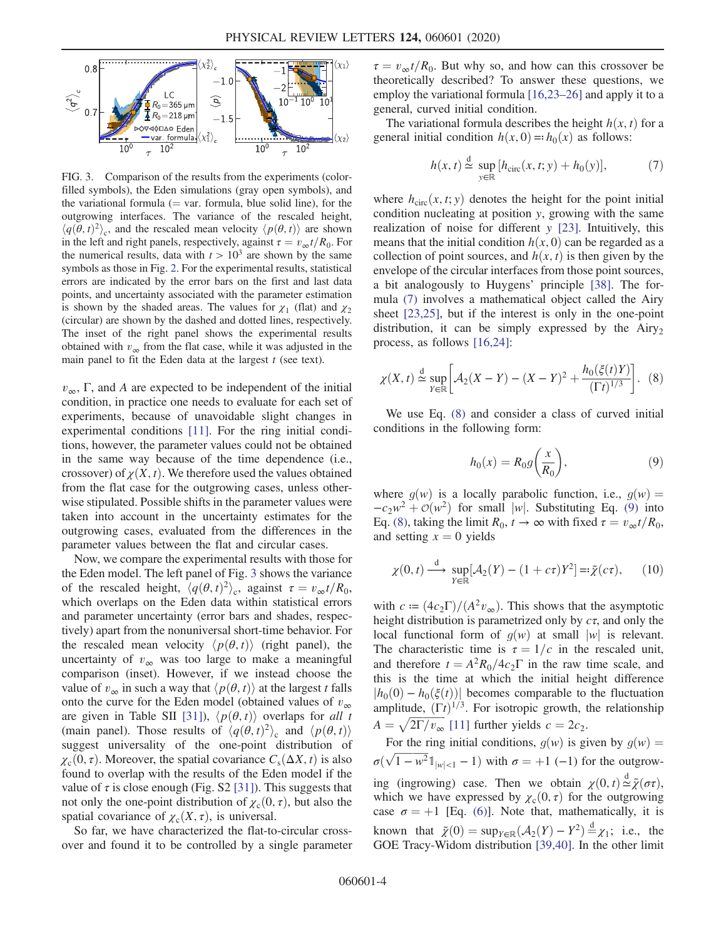<span id="page-3-0"></span>

FIG. 3. Comparison of the results from the experiments (colorfilled symbols), the Eden simulations (gray open symbols), and the variational formula  $(= var.$  formula, blue solid line), for the outgrowing interfaces. The variance of the rescaled height,  $\langle q(\theta, t)^2 \rangle_c$ , and the rescaled mean velocity  $\langle p(\theta, t) \rangle$  are shown in the left and right panels, respectively, against  $\tau = v_{\infty} t/R_0$ . For the numerical results, data with  $t > 10^3$  are shown by the same symbols as those in Fig. [2.](#page-2-0) For the experimental results, statistical errors are indicated by the error bars on the first and last data points, and uncertainty associated with the parameter estimation is shown by the shaded areas. The values for  $\chi_1$  (flat) and  $\chi_2$ (circular) are shown by the dashed and dotted lines, respectively. The inset of the right panel shows the experimental results obtained with  $v_{\infty}$  from the flat case, while it was adjusted in the main panel to fit the Eden data at the largest  $t$  (see text).

 $v_{\infty}$ , Γ, and A are expected to be independent of the initial condition, in practice one needs to evaluate for each set of experiments, because of unavoidable slight changes in experimental conditions [\[11\]](#page-4-14). For the ring initial conditions, however, the parameter values could not be obtained in the same way because of the time dependence (i.e., crossover) of  $\chi(X, t)$ . We therefore used the values obtained from the flat case for the outgrowing cases, unless otherwise stipulated. Possible shifts in the parameter values were taken into account in the uncertainty estimates for the outgrowing cases, evaluated from the differences in the parameter values between the flat and circular cases.

Now, we compare the experimental results with those for the Eden model. The left panel of Fig. [3](#page-3-0) shows the variance of the rescaled height,  $\langle q(\theta, t)^2 \rangle_c$ , against  $\tau = v_{\infty} t/R_0$ , which overlaps on the Eden data within statistical errors and parameter uncertainty (error bars and shades, respectively) apart from the nonuniversal short-time behavior. For the rescaled mean velocity  $\langle p(\theta, t) \rangle$  (right panel), the uncertainty of  $v_{\infty}$  was too large to make a meaningful comparison (inset). However, if we instead choose the value of  $v_{\infty}$  in such a way that  $\langle p(\theta, t) \rangle$  at the largest t falls onto the curve for the Eden model (obtained values of  $v_{\infty}$ ) are given in Table SII [\[31\]\)](#page-5-4),  $\langle p(\theta, t) \rangle$  overlaps for all t (main panel). Those results of  $\langle q(\theta, t)^2 \rangle_c$  and  $\langle p(\theta, t) \rangle$ suggest universality of the one-point distribution of  $\chi_c(0, \tau)$ . Moreover, the spatial covariance  $C_s(\Delta X, t)$  is also found to overlap with the results of the Eden model if the value of  $\tau$  is close enough (Fig. S2 [\[31\]](#page-5-4)). This suggests that not only the one-point distribution of  $\chi_c(0, \tau)$ , but also the spatial covariance of  $\chi_c(X, \tau)$ , is universal.

So far, we have characterized the flat-to-circular crossover and found it to be controlled by a single parameter  $\tau = v_{\infty}t/R_0$ . But why so, and how can this crossover be theoretically described? To answer these questions, we employ the variational formula [\[16,23](#page-4-11)–26] and apply it to a general, curved initial condition.

<span id="page-3-1"></span>The variational formula describes the height  $h(x, t)$  for a general initial condition  $h(x, 0) = h_0(x)$  as follows:

$$
h(x,t) \stackrel{\text{d}}{\simeq} \sup_{y \in \mathbb{R}} \left[ h_{\text{circ}}(x,t;y) + h_0(y) \right],\tag{7}
$$

where  $h_{\text{circ}}(x, t; y)$  denotes the height for the point initial condition nucleating at position y, growing with the same realization of noise for different  $y$  [\[23\].](#page-5-6) Intuitively, this means that the initial condition  $h(x, 0)$  can be regarded as a collection of point sources, and  $h(x, t)$  is then given by the envelope of the circular interfaces from those point sources, a bit analogously to Huygens' principle [\[38\]](#page-5-7). The formula [\(7\)](#page-3-1) involves a mathematical object called the Airy sheet [\[23,25\],](#page-5-6) but if the interest is only in the one-point distribution, it can be simply expressed by the  $Airy<sub>2</sub>$ process, as follows [\[16,24\]:](#page-4-11)

<span id="page-3-2"></span>
$$
\chi(X,t) \stackrel{\text{d}}{\simeq} \sup_{Y \in \mathbb{R}} \left[ \mathcal{A}_2(X-Y) - (X-Y)^2 + \frac{h_0(\xi(t)Y)}{(\Gamma t)^{1/3}} \right]. \tag{8}
$$

<span id="page-3-3"></span>We use Eq. [\(8\)](#page-3-2) and consider a class of curved initial conditions in the following form:

$$
h_0(x) = R_0 g\left(\frac{x}{R_0}\right),\tag{9}
$$

<span id="page-3-4"></span>where  $g(w)$  is a locally parabolic function, i.e.,  $g(w) =$  $-c_2w^2 + \mathcal{O}(w^2)$  for small |w|. Substituting Eq. [\(9\)](#page-3-3) into Eq. [\(8\),](#page-3-2) taking the limit  $R_0$ ,  $t \to \infty$  with fixed  $\tau = v_{\infty}t/R_0$ , and setting  $x = 0$  yields

$$
\chi(0, t) \xrightarrow{\mathrm{d}} \sup_{Y \in \mathbb{R}} [\mathcal{A}_2(Y) - (1 + c\tau)Y^2] =: \tilde{\chi}(c\tau), \qquad (10)
$$

with  $c := (4c_2\Gamma)/(A^2v_\infty)$ . This shows that the asymptotic height distribution is parametrized only by  $c\tau$ , and only the local functional form of  $q(w)$  at small |w| is relevant. The characteristic time is  $\tau = 1/c$  in the rescaled unit, and therefore  $t = A^2 R_0/4c_2\Gamma$  in the raw time scale, and this is the time at which the initial height difference  $|h_0(0) - h_0(\xi(t))|$  becomes comparable to the fluctuation amplitude,  $(\Gamma t)^{1/3}$ . For isotropic growth, the relationship  $A = \sqrt{2\Gamma/v_{\infty}}$  [\[11\]](#page-4-14) further yields  $c = 2c_2$ .

For the ring initial conditions,  $g(w)$  is given by  $g(w)$  =  $\sigma(\sqrt{1 - w^2} \mathbb{1}_{|w| < 1} - 1)$  with  $\sigma = +1$  (−1) for the outgrowing (ingrowing) case. Then we obtain  $\chi(0, t) \stackrel{d}{\approx} \tilde{\chi}(\sigma \tau)$ ,<br>which we have expressed by  $\chi(0, \tau)$  for the outgrowing which we have expressed by  $\chi_c(0, \tau)$  for the outgrowing case  $\sigma = +1$  [Eq. [\(6\)](#page-2-1)]. Note that, mathematically, it is known that  $\tilde{\chi}(0) = \sup_{Y \in \mathbb{R}} (\mathcal{A}_2(Y) - Y^2) \stackrel{d}{=} \chi_1$ ; i.e., the GOE Tracy-Widom distribution [39.40]. In the other limit GOE Tracy-Widom distribution [\[39,40\]](#page-5-8). In the other limit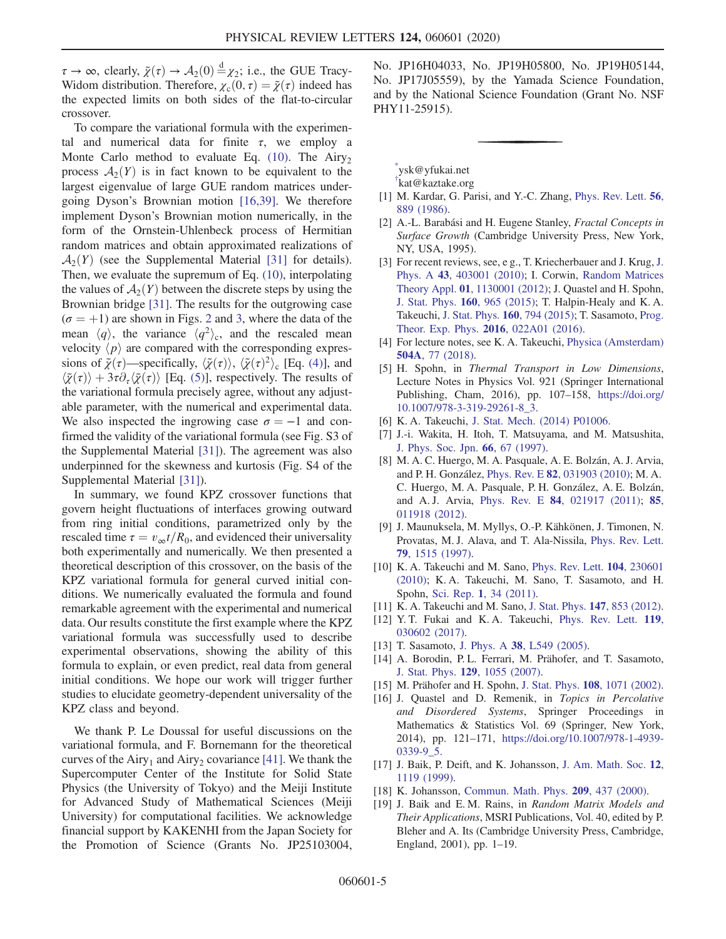$\tau \to \infty$ , clearly,  $\tilde{\chi}(\tau) \to \mathcal{A}_2(0) \stackrel{d}{=} \chi_2$ ; i.e., the GUE Tracy-Widom distribution. Therefore,  $\chi_c(0, \tau) = \tilde{\chi}(\tau)$  indeed has the expected limits on both sides of the flat-to-circular crossover.

To compare the variational formula with the experimental and numerical data for finite  $\tau$ , we employ a Monte Carlo method to evaluate Eq.  $(10)$ . The Airy<sub>2</sub> process  $A_2(Y)$  is in fact known to be equivalent to the largest eigenvalue of large GUE random matrices undergoing Dyson's Brownian motion [\[16,39\].](#page-4-11) We therefore implement Dyson's Brownian motion numerically, in the form of the Ornstein-Uhlenbeck process of Hermitian random matrices and obtain approximated realizations of  $\mathcal{A}_2(Y)$  (see the Supplemental Material [\[31\]](#page-5-4) for details). Then, we evaluate the supremum of Eq. [\(10\),](#page-3-4) interpolating the values of  $A_2(Y)$  between the discrete steps by using the Brownian bridge [\[31\].](#page-5-4) The results for the outgrowing case  $(\sigma = +1)$  are shown in Figs. [2](#page-2-0) and [3](#page-3-0), where the data of the mean  $\langle q \rangle$ , the variance  $\langle q^2 \rangle_c$ , and the rescaled mean velocity  $\langle p \rangle$  are compared with the corresponding expressions of  $\tilde{\chi}(\tau)$ —specifically,  $\langle \tilde{\chi}(\tau) \rangle$ ,  $\langle \tilde{\chi}(\tau)^2 \rangle_c$  [Eq. [\(4\)](#page-2-2)], and  $\langle \tilde{\chi}(\tau) \rangle + 3\tau \partial_{\tau} \langle \tilde{\chi}(\tau) \rangle$  [Eq. [\(5\)\]](#page-2-3), respectively. The results of the variational formula precisely agree, without any adjustable parameter, with the numerical and experimental data. We also inspected the ingrowing case  $\sigma = -1$  and confirmed the validity of the variational formula (see Fig. S3 of the Supplemental Material [\[31\]\)](#page-5-4). The agreement was also underpinned for the skewness and kurtosis (Fig. S4 of the Supplemental Material [\[31\]\)](#page-5-4).

In summary, we found KPZ crossover functions that govern height fluctuations of interfaces growing outward from ring initial conditions, parametrized only by the rescaled time  $\tau = v_{\infty}t/R_0$ , and evidenced their universality both experimentally and numerically. We then presented a theoretical description of this crossover, on the basis of the KPZ variational formula for general curved initial conditions. We numerically evaluated the formula and found remarkable agreement with the experimental and numerical data. Our results constitute the first example where the KPZ variational formula was successfully used to describe experimental observations, showing the ability of this formula to explain, or even predict, real data from general initial conditions. We hope our work will trigger further studies to elucidate geometry-dependent universality of the KPZ class and beyond.

We thank P. Le Doussal for useful discussions on the variational formula, and F. Bornemann for the theoretical curves of the Airy<sub>1</sub> and Airy<sub>2</sub> covariance [\[41\].](#page-5-9) We thank the Supercomputer Center of the Institute for Solid State Physics (the University of Tokyo) and the Meiji Institute for Advanced Study of Mathematical Sciences (Meiji University) for computational facilities. We acknowledge financial support by KAKENHI from the Japan Society for the Promotion of Science (Grants No. JP25103004, No. JP16H04033, No. JP19H05800, No. JP19H05144, No. JP17J05559), by the Yamada Science Foundation, and by the National Science Foundation (Grant No. NSF PHY11-25915).

<span id="page-4-1"></span><span id="page-4-0"></span>[\\*](#page-0-1) ysk@yfukai.net

[†](#page-0-1) kat@kaztake.org

- <span id="page-4-2"></span>[1] M. Kardar, G. Parisi, and Y.-C. Zhang, [Phys. Rev. Lett.](https://doi.org/10.1103/PhysRevLett.56.889) 56, [889 \(1986\)](https://doi.org/10.1103/PhysRevLett.56.889).
- <span id="page-4-3"></span>[2] A.-L. Barabási and H. Eugene Stanley, *Fractal Concepts in* Surface Growth (Cambridge University Press, New York, NY, USA, 1995).
- [3] For recent reviews, see, e g., T. Kriecherbauer and [J.](https://doi.org/10.1088/1751-8113/43/40/403001) Krug, J. Phys. A 43[, 403001 \(2010\)](https://doi.org/10.1088/1751-8113/43/40/403001); I. Corwin, [Random Matrices](https://doi.org/10.1142/S2010326311300014) Theory Appl. 01[, 1130001 \(2012\)](https://doi.org/10.1142/S2010326311300014); J. Quastel and H. Spohn, [J. Stat. Phys.](https://doi.org/10.1007/s10955-015-1250-9) 160, 965 (2015); T. Halpin-Healy and K. A. Takeuchi, [J. Stat. Phys.](https://doi.org/10.1007/s10955-015-1282-1) 160, 794 (2015); T. Sasamoto, [Prog.](https://doi.org/10.1093/ptep/ptw002) [Theor. Exp. Phys.](https://doi.org/10.1093/ptep/ptw002) 2016, 022A01 (2016).
- <span id="page-4-8"></span><span id="page-4-4"></span>[4] For lecture notes, see K. A. Takeuchi, [Physica \(Amsterdam\)](https://doi.org/10.1016/j.physa.2018.03.009) 504A[, 77 \(2018\).](https://doi.org/10.1016/j.physa.2018.03.009)
- [5] H. Spohn, in Thermal Transport in Low Dimensions, Lecture Notes in Physics Vol. 921 (Springer International Publishing, Cham, 2016), pp. 107–158, [https://doi.org/](https://doi.org/10.1007/978-3-319-29261-8_3) [10.1007/978-3-319-29261-8\\_3.](https://doi.org/10.1007/978-3-319-29261-8_3)
- <span id="page-4-6"></span><span id="page-4-5"></span>[6] K. A. Takeuchi, [J. Stat. Mech. \(2014\) P01006.](https://doi.org/10.1088/1742-5468/2014/01/P01006)
- [7] J.-i. Wakita, H. Itoh, T. Matsuyama, and M. Matsushita, [J. Phys. Soc. Jpn.](https://doi.org/10.1143/JPSJ.66.67) 66, 67 (1997).
- [8] M. A. C. Huergo, M. A. Pasquale, A. E. Bolzán, A. J. Arvia, and P. H. González, Phys. Rev. E 82[, 031903 \(2010\)](https://doi.org/10.1103/PhysRevE.82.031903); M. A. C. Huergo, M. A. Pasquale, P. H. González, A. E. Bolzán, and A. J. Arvia, Phys. Rev. E 84[, 021917 \(2011\)](https://doi.org/10.1103/PhysRevE.84.021917); [85](https://doi.org/10.1103/PhysRevE.85.011918), [011918 \(2012\).](https://doi.org/10.1103/PhysRevE.85.011918)
- <span id="page-4-7"></span>[9] J. Maunuksela, M. Myllys, O.-P. Kähkönen, J. Timonen, N. Provatas, M. J. Alava, and T. Ala-Nissila, [Phys. Rev. Lett.](https://doi.org/10.1103/PhysRevLett.79.1515) 79[, 1515 \(1997\)](https://doi.org/10.1103/PhysRevLett.79.1515).
- <span id="page-4-14"></span>[10] K. A. Takeuchi and M. Sano, [Phys. Rev. Lett.](https://doi.org/10.1103/PhysRevLett.104.230601) 104, 230601 [\(2010\);](https://doi.org/10.1103/PhysRevLett.104.230601) K. A. Takeuchi, M. Sano, T. Sasamoto, and H. Spohn, Sci. Rep. 1[, 34 \(2011\).](https://doi.org/10.1038/srep00034)
- <span id="page-4-13"></span>[11] K. A. Takeuchi and M. Sano, [J. Stat. Phys.](https://doi.org/10.1007/s10955-012-0503-0) **147**, 853 (2012).
- <span id="page-4-9"></span>[12] Y. T. Fukai and K. A. Takeuchi, [Phys. Rev. Lett.](https://doi.org/10.1103/PhysRevLett.119.030602) 119, [030602 \(2017\).](https://doi.org/10.1103/PhysRevLett.119.030602)
- [13] T. Sasamoto, J. Phys. A 38[, L549 \(2005\)](https://doi.org/10.1088/0305-4470/38/33/L01).
- <span id="page-4-11"></span><span id="page-4-10"></span>[14] A. Borodin, P.L. Ferrari, M. Prähofer, and T. Sasamoto, J. Stat. Phys. 129[, 1055 \(2007\).](https://doi.org/10.1007/s10955-007-9383-0)
- [15] M. Prähofer and H. Spohn, J. Stat. Phys. **108**[, 1071 \(2002\).](https://doi.org/10.1023/A:1019791415147)
- [16] J. Quastel and D. Remenik, in Topics in Percolative and Disordered Systems, Springer Proceedings in Mathematics & Statistics Vol. 69 (Springer, New York, 2014), pp. 121–171, [https://doi.org/10.1007/978-1-4939-](https://doi.org/10.1007/978-1-4939-0339-9_5) [0339-9\\_5.](https://doi.org/10.1007/978-1-4939-0339-9_5)
- <span id="page-4-12"></span>[17] J. Baik, P. Deift, and K. Johansson, [J. Am. Math. Soc.](https://doi.org/10.1090/S0894-0347-99-00307-0) 12, [1119 \(1999\)](https://doi.org/10.1090/S0894-0347-99-00307-0).
- [18] K. Johansson, [Commun. Math. Phys.](https://doi.org/10.1007/s002200050027) **209**, 437 (2000).
- [19] J. Baik and E. M. Rains, in Random Matrix Models and Their Applications, MSRI Publications, Vol. 40, edited by P. Bleher and A. Its (Cambridge University Press, Cambridge, England, 2001), pp. 1–19.